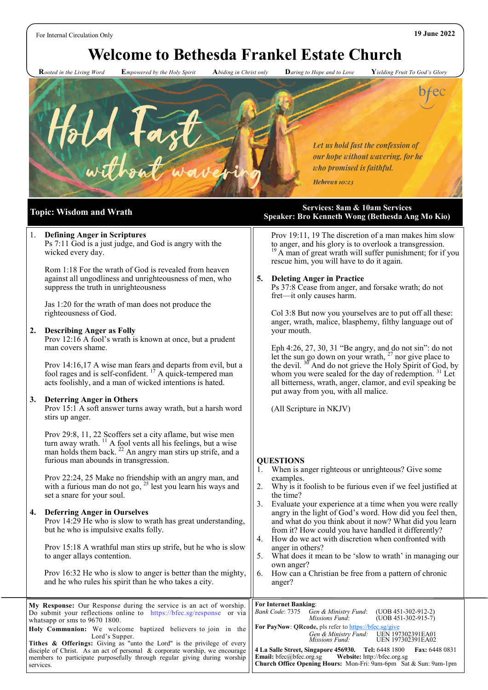# **Welcome to Bethesda Frankel Estate Church**

 **R***ooted in the Living Word* **E***mpowered by the Holy Spirit* **A***biding in Christ only* **D***aring to Hope and to Love* **Y***ielding Fruit To God's Glory*



### 1. **Defining Anger in Scriptures**

Ps 7:11 God is a just judge, and God is angry with the wicked every day.

Rom 1:18 For the wrath of God is revealed from heaven against all ungodliness and unrighteousness of men, who suppress the truth in unrighteousness

Jas 1:20 for the wrath of man does not produce the righteousness of God.

#### **2. Describing Anger as Folly**

Prov 12:16 A fool's wrath is known at once, but a prudent man covers shame.

Prov 14:16,17 A wise man fears and departs from evil, but a fool rages and is self-confident.  $^{17}$  A quick-tempered man acts foolishly, and a man of wicked intentions is hated.

#### **3. Deterring Anger in Others**

Prov 15:1 A soft answer turns away wrath, but a harsh word stirs up anger.

Prov 29:8, 11, 22 Scoffers set a city aflame, but wise men turn away wrath.  $11$  A fool vents all his feelings, but a wise man holds them back. <sup>22</sup> An angry man stirs up strife, and a furious man abounds in transgression.

Prov 22:24, 25 Make no friendship with an angry man, and with a furious man do not go, <sup>25</sup> lest you learn his ways and set a snare for your soul.

#### **4. Deferring Anger in Ourselves**

Prov 14:29 He who is slow to wrath has great understanding, but he who is impulsive exalts folly.

Prov 15:18 A wrathful man stirs up strife, but he who is slow to anger allays contention.

Prov 16:32 He who is slow to anger is better than the mighty, and he who rules his spirit than he who takes a city.

**Topic: Wisdom and Wrath Services: 8am & 10am Services Services**: 8am & 10am Services **Speaker: Bro Kenneth Wong (Bethesda Ang Mo Kio)** 

> Prov 19:11, 19 The discretion of a man makes him slow to anger, and his glory is to overlook a transgression. <sup>19</sup> A man of great wrath will suffer punishment; for if you rescue him, you will have to do it again.

### **5. Deleting Anger in Practice**

Ps 37:8 Cease from anger, and forsake wrath; do not fret—it only causes harm.

Col 3:8 But now you yourselves are to put off all these: anger, wrath, malice, blasphemy, filthy language out of your mouth.

Eph 4:26, 27, 30, 31 "Be angry, and do not sin": do not let the sun go down on your wrath,  $27$  nor give place to the devil.  $36^{\circ}$  And do not grieve the Holy Spirit of God, by whom you were sealed for the day of redemption.  $31$  Let all bitterness, wrath, anger, clamor, and evil speaking be put away from you, with all malice.

(All Scripture in NKJV)

#### **QUESTIONS**

- 1. When is anger righteous or unrighteous? Give some examples.
- 2. Why is it foolish to be furious even if we feel justified at the time?
- 3. Evaluate your experience at a time when you were really angry in the light of God's word. How did you feel then, and what do you think about it now? What did you learn from it? How could you have handled it differently?
- 4. How do we act with discretion when confronted with anger in others?
- 5. What does it mean to be 'slow to wrath' in managing our own anger?
- 6. How can a Christian be free from a pattern of chronic anger?

| My Response: Our Response during the service is an act of worship.    For Internet Banking:<br>Do submit your reflections online to https://bfec.sg/response or via<br>whatsapp or sms to $9670$ 1800. | $(UOB 451-302-912-2)$<br>Bank Code: 7375 Gen & Ministry Fund:<br>$(UDB 451-302-915-7)$<br><i>Missions Fund:</i>                                                                                      |  |
|--------------------------------------------------------------------------------------------------------------------------------------------------------------------------------------------------------|------------------------------------------------------------------------------------------------------------------------------------------------------------------------------------------------------|--|
| Holy Communion: We welcome baptized believers to join in the<br>Lord's Supper.<br>Tithes & Offerings: Giving as "unto the Lord" is the privilege of every                                              | For PayNow: QRcode, pls refer to https://bfec.sg/give<br>Gen & Ministry Fund: UEN 197302391EA01<br>UEN 197302391EA02<br>Missions Fund:                                                               |  |
| disciple of Christ. As an act of personal $\&$ corporate worship, we encourage<br>members to participate purposefully through regular giving during worship<br>services.                               | 4 La Salle Street, Singapore 456930. Tel: 6448 1800 Fax: 6448 0831<br><b>Email:</b> bfec@bfec.org.sg Website: http://bfec.org.sg<br>Church Office Opening Hours: Mon-Fri: 9am-6pm Sat & Sun: 9am-1pm |  |